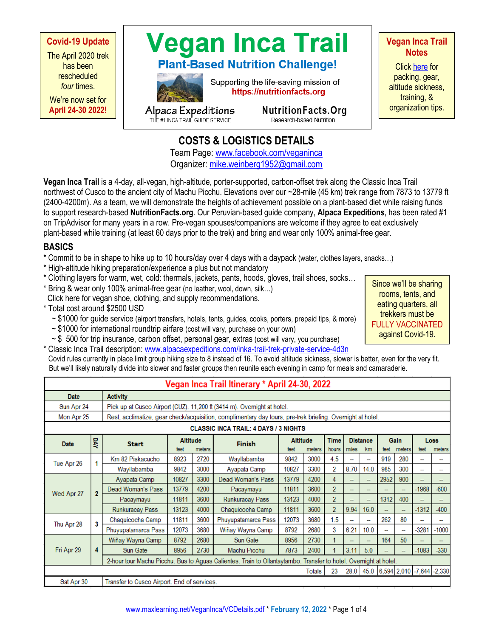**Covid-19 Update** The April 2020 trek has been rescheduled *four* times.

We're now set for **April 24-30 2022!**





Supporting the life-saving mission of https://nutritionfacts.org

Alpaca Expeditions<br>THE #1 INCA TRAIL GUIDE SERVICE

NutritionFacts.Org

Research-based Nutrition

**Vegan Inca Trail Notes**

Click [here](https://www.maxlearning.net/VeganInca/VeganIncaTrailNotes.pdf) for packing, gear, altitude sickness, training, & organization tips.

## **COSTS & LOGISTICS DETAILS**

Team Page[: www.facebook.com/veganinca](http://www.facebook.com/veganinca) Organizer: [mike.weinberg1952@gmail.com](mailto:mike.weinberg1952@gmail.com)

**Vegan Inca Trail** is a 4-day, all-vegan, high-altitude, porter-supported, carbon-offset trek along the Classic Inca Trail northwest of Cusco to the ancient city of Machu Picchu. Elevations over our ~28-mile (45 km) trek range from 7873 to 13779 ft (2400-4200m). As a team, we will demonstrate the heights of achievement possible on a plant-based diet while raising funds to support research-based **NutritionFacts.org**. Our Peruvian-based guide company, **Alpaca Expeditions**, has been rated #1 on TripAdvisor for many years in a row. Pre-vegan spouses/companions are welcome if they agree to eat exclusively plant-based while training (at least 60 days prior to the trek) and bring and wear only 100% animal-free gear.

### **BASICS**

- \* Commit to be in shape to hike up to 10 hours/day over 4 days with a daypack (water, clothes layers, snacks…)
- \* High-altitude hiking preparation/experience a plus but not mandatory
- \* Clothing layers for warm, wet, cold: thermals, jackets, pants, hoods, gloves, trail shoes, socks…
- \* Bring & wear only 100% animal-free gear (no leather, wool, down, silk…)

Click here for vegan shoe, clothing, and supply recommendations.

- \* Total cost around \$2500 USD
	- ~ \$1000 for guide service (airport transfers, hotels, tents, guides, cooks, porters, prepaid tips, & more)
	- ~ \$1000 for international roundtrip airfare (cost will vary, purchase on your own)
	- $\sim$  \$ 500 for trip insurance, carbon offset, personal gear, extras (cost will vary, you purchase)

\* Classic Inca Trail description: [www.alpacaexpeditions.com/inka-trail-trek-private-service-4d3n](http://www.alpacaexpeditions.com/inka-trail-trek-private-service-4d3n) Covid rules currently in place limit group hiking size to 8 instead of 16. To avoid altitude sickness, slower is better, even for the very fit. But we'll likely naturally divide into slower and faster groups then reunite each evening in camp for meals and camaraderie.

|                                                     | Vegan Inca Trail Itinerary * April 24-30, 2022 |                                                                                                                  |                                   |      |                     |                                   |      |                      |       |                          |                        |     |                        |         |  |  |
|-----------------------------------------------------|------------------------------------------------|------------------------------------------------------------------------------------------------------------------|-----------------------------------|------|---------------------|-----------------------------------|------|----------------------|-------|--------------------------|------------------------|-----|------------------------|---------|--|--|
| Date                                                |                                                | <b>Activity</b>                                                                                                  |                                   |      |                     |                                   |      |                      |       |                          |                        |     |                        |         |  |  |
| Sun Apr 24                                          |                                                | Pick up at Cusco Airport (CUZ). 11,200 ft (3414 m). Overnight at hotel.                                          |                                   |      |                     |                                   |      |                      |       |                          |                        |     |                        |         |  |  |
| Mon Apr 25                                          |                                                | Rest, acclimatize, gear check/acquisition, complimentary day tours, pre-trek briefing. Overnight at hotel.       |                                   |      |                     |                                   |      |                      |       |                          |                        |     |                        |         |  |  |
| <b>CLASSIC INCA TRAIL: 4 DAYS / 3 NIGHTS</b>        |                                                |                                                                                                                  |                                   |      |                     |                                   |      |                      |       |                          |                        |     |                        |         |  |  |
| Date                                                | DAY                                            | <b>Start</b>                                                                                                     | <b>Altitude</b><br>feet<br>meters |      | <b>Finish</b>       | <b>Altitude</b><br>meters<br>feet |      | <b>Time</b><br>hours | miles | <b>Distance</b><br>km    | Gain<br>meters<br>feet |     | Loss<br>feet<br>meters |         |  |  |
| Tue Apr 26                                          | 1                                              | Km 82 Piskacucho                                                                                                 | 8923                              | 2720 | Wayllabamba         | 9842                              | 3000 | 4.5                  |       |                          | 919                    | 280 |                        |         |  |  |
|                                                     |                                                | Wayllabamba                                                                                                      | 9842                              | 3000 | Ayapata Camp        | 10827                             | 3300 | 2                    | 8.70  | 14.0                     | 985                    | 300 | -                      |         |  |  |
| Wed Apr 27                                          | $\overline{2}$                                 | Ayapata Camp                                                                                                     | 10827                             | 3300 | Dead Woman's Pass   | 13779                             | 4200 | 4                    | ÷     |                          | 2952                   | 900 |                        |         |  |  |
|                                                     |                                                | Dead Woman's Pass                                                                                                | 13779                             | 4200 | Pacaymayu           | 11811                             | 3600 | $\overline{2}$       | -     |                          |                        |     | $-1968$                | $-600$  |  |  |
|                                                     |                                                | Pacaymayu                                                                                                        | 11811                             | 3600 | Runkuracay Pass     | 13123                             | 4000 | $\overline{2}$       | -     | $\overline{\phantom{0}}$ | 1312                   | 400 |                        |         |  |  |
|                                                     |                                                | Runkuracay Pass                                                                                                  | 13123                             | 4000 | Chaquicocha Camp    | 11811                             | 3600 | $\overline{2}$       | 9.94  | 16.0                     |                        | ÷   | $-1312$                | $-400$  |  |  |
| Thu Apr 28                                          | 3                                              | Chaquicocha Camp                                                                                                 | 11811                             | 3600 | Phuyupatamarca Pass | 12073                             | 3680 | 1.5                  | -     |                          | 262                    | 80  |                        |         |  |  |
|                                                     |                                                | Phuyupatamarca Pass                                                                                              | 12073                             | 3680 | Wiñay Wayna Camp    | 8792                              | 2680 | 3                    | 6.21  | 10.0                     |                        | -   | $-3281$                | $-1000$ |  |  |
| Fri Apr 29                                          | 4                                              | Wiñay Wayna Camp                                                                                                 | 8792                              | 2680 | Sun Gate            | 8956                              | 2730 | 1                    |       |                          | 164                    | 50  |                        |         |  |  |
|                                                     |                                                | Sun Gate                                                                                                         | 8956                              | 2730 | Machu Picchu        | 7873                              | 2400 |                      | 3.11  | 5.0                      |                        |     | $-1083$                | $-330$  |  |  |
|                                                     |                                                | 2-hour tour Machu Picchu. Bus to Aguas Calientes. Train to Ollantaytambo. Transfer to hotel. Overnight at hotel. |                                   |      |                     |                                   |      |                      |       |                          |                        |     |                        |         |  |  |
| 28.0 45.0 6,594 2,010 -7,644 -2,330<br>23<br>Totals |                                                |                                                                                                                  |                                   |      |                     |                                   |      |                      |       |                          |                        |     |                        |         |  |  |
| Sat Apr 30                                          |                                                | Transfer to Cusco Airport. End of services.                                                                      |                                   |      |                     |                                   |      |                      |       |                          |                        |     |                        |         |  |  |

Since we'll be sharing rooms, tents, and eating quarters, all trekkers must be FULLY VACCINATED against Covid-19.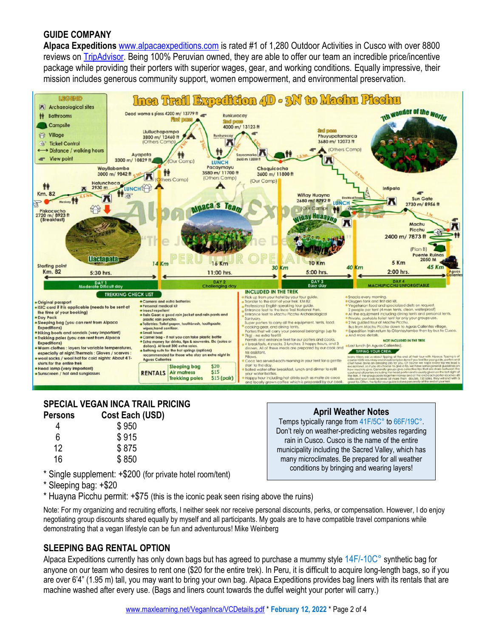### **GUIDE COMPANY**

**Alpaca Expeditions** [www.alpacaexpeditions.com](http://www.alpacaexpeditions.com/) is rated #1 of 1,280 Outdoor Activities in Cusco with over 8800 reviews on [TripAdvisor.](https://www.tripadvisor.com/Attraction_Review-g294314-d2547689-Reviews-Alpaca_Expeditions-Cusco_Cusco_Region.html) Being 100% Peruvian owned, they are able to offer our team an incredible price/incentive package while providing their porters with superior wages, gear, and working conditions. Equally impressive, their mission includes generous community support, women empowerment, and environmental preservation.



#### **SPECIAL VEGAN INCA TRAIL PRICING Persons Cost Each (USD)**

| 4  | \$950 |
|----|-------|
| 6  | \$915 |
| 12 | \$875 |
| 16 | \$850 |
|    |       |

- \* Single supplement: +\$200 (for private hotel room/tent)
- \* Sleeping bag: +\$20
- \* Huayna Picchu permit: +\$75 (this is the iconic peak seen rising above the ruins)

Note: For my organizing and recruiting efforts, I neither seek nor receive personal discounts, perks, or compensation. However, I do enjoy negotiating group discounts shared equally by myself and all participants. My goals are to have compatible travel companions while demonstrating that a vegan lifestyle can be fun and adventurous! Mike Weinberg

**April Weather Notes** Temps typically range from 41F/5C° to 66F/19C°. Don't rely on weather-predicting websites regarding rain in Cusco. Cusco is the name of the entire municipality including the Sacred Valley, which has many microclimates. Be prepared for all weather conditions by bringing and wearing layers!

### **SLEEPING BAG RENTAL OPTION**

Alpaca Expeditions currently has only down bags but has agreed to purchase a mummy style 14F/-10C° synthetic bag for anyone on our team who desires to rent one (\$20 for the entire trek). In Peru, it is difficult to acquire long-length bags, so if you are over 6'4" (1.95 m) tall, you may want to bring your own bag. Alpaca Expeditions provides bag liners with its rentals that are machine washed after every use. (Bags and liners count towards the duffel weight your porter will carry.)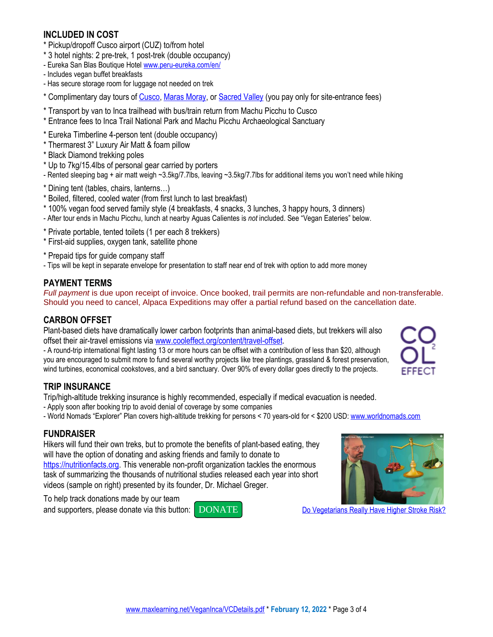### **INCLUDED IN COST**

- \* Pickup/dropoff Cusco airport (CUZ) to/from hotel
- \* 3 hotel nights: 2 pre-trek, 1 post-trek (double occupancy)
- Eureka San Blas Boutique Hotel [www.peru-eureka.com/en/](https://www.peru-eureka.com/en/)
- Includes vegan buffet breakfasts
- Has secure storage room for luggage not needed on trek
- \* Complimentary day tours of [Cusco,](https://www.alpacaexpeditions.com/cusco-city-tour-half-day/) [Maras Moray,](https://www.alpacaexpeditions.com/maras-moray-half-day/) o[r Sacred Valley](https://www.alpacaexpeditions.com/sacred-valley-full-day/) (you pay only for site-entrance fees)
- \* Transport by van to Inca trailhead with bus/train return from Machu Picchu to Cusco
- \* Entrance fees to Inca Trail National Park and Machu Picchu Archaeological Sanctuary
- \* Eureka Timberline 4-person tent (double occupancy)
- \* Thermarest 3" Luxury Air Matt & foam pillow
- \* Black Diamond trekking poles
- \* Up to 7kg/15.4lbs of personal gear carried by porters
- Rented sleeping bag + air matt weigh ~3.5kg/7.7lbs, leaving ~3.5kg/7.7lbs for additional items you won't need while hiking
- \* Dining tent (tables, chairs, lanterns…)
- \* Boiled, filtered, cooled water (from first lunch to last breakfast)
- \* 100% vegan food served family style (4 breakfasts, 4 snacks, 3 lunches, 3 happy hours, 3 dinners)
- After tour ends in Machu Picchu, lunch at nearby Aguas Calientes is *not* included. See "Vegan Eateries" below.
- \* Private portable, tented toilets (1 per each 8 trekkers)
- \* First-aid supplies, oxygen tank, satellite phone
- \* Prepaid tips for guide company staff
- Tips will be kept in separate envelope for presentation to staff near end of trek with option to add more money

### **PAYMENT TERMS**

*Full payment* is due upon receipt of invoice. Once booked, trail permits are non-refundable and non-transferable. Should you need to cancel, Alpaca Expeditions may offer a partial refund based on the cancellation date.

### **CARBON OFFSET**

Plant-based diets have dramatically lower carbon footprints than animal-based diets, but trekkers will also offset their air-travel emissions via [www.cooleffect.org/content/travel-offset.](http://www.cooleffect.org/content/travel-offset)

- A round-trip international flight lasting 13 or more hours can be offset with a contribution of less than \$20, although you are encouraged to submit more to fund several worthy projects like tree plantings, grassland & forest preservation, wind turbines, economical cookstoves, and a bird sanctuary. Over 90% of every dollar goes directly to the projects.

# **TRIP INSURANCE**

Trip/high-altitude trekking insurance is highly recommended, especially if medical evacuation is needed.

- Apply soon after booking trip to avoid denial of coverage by some companies
- World Nomads "Explorer" Plan covers high-altitude trekking for persons < 70 years-old for < \$200 USD: [www.worldnomads.com](http://www.worldnomads.com/)

### **FUNDRAISER**

Hikers will fund their own treks, but to promote the benefits of plant-based eating, they will have the option of donating and asking friends and family to donate to [https://nutritionfacts.org.](https://nutritionfacts.org/) This venerable non-profit organization tackles the enormous task of summarizing the thousands of nutritional studies released each year into short videos (sample on right) presented by its founder, Dr. Michael Greger.

To help track donations made by our team





and supporters, please donate via this button: [DONATE](https://nutritionfacts.z2systems.com/np/clients/nutritionfacts/campaign.jsp?campaign=38&&test=true) DONATE [Do Vegetarians Really Have Higher Stroke](https://nutritionfacts.org/video/do-vegetarians-really-have-higher-stroke-risk/) Risk?